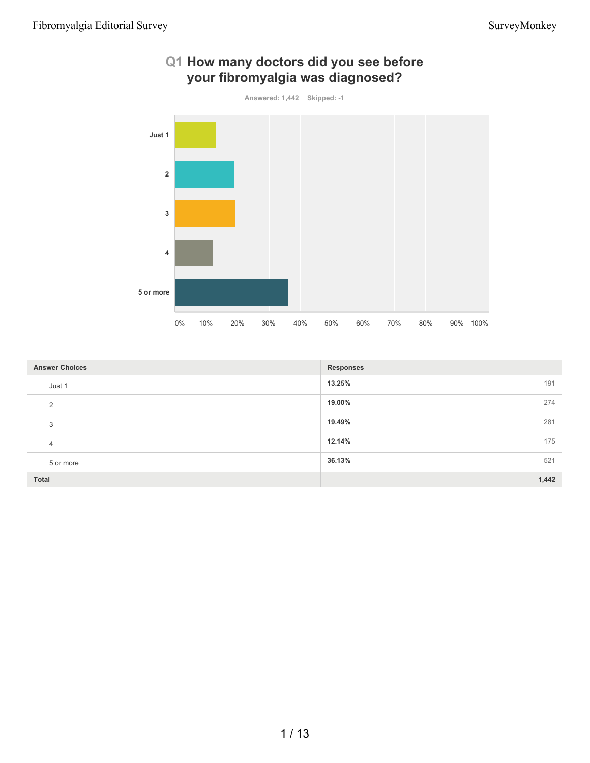

## **Q1 How many doctors did you see before your fibromyalgia was diagnosed?**

| <b>Answer Choices</b> | <b>Responses</b> |
|-----------------------|------------------|
| Just 1                | 13.25%<br>191    |
| $\overline{2}$        | 19.00%<br>274    |
| 3                     | 19.49%<br>281    |
| $\overline{4}$        | 12.14%<br>175    |
| 5 or more             | 36.13%<br>521    |
| Total                 | 1,442            |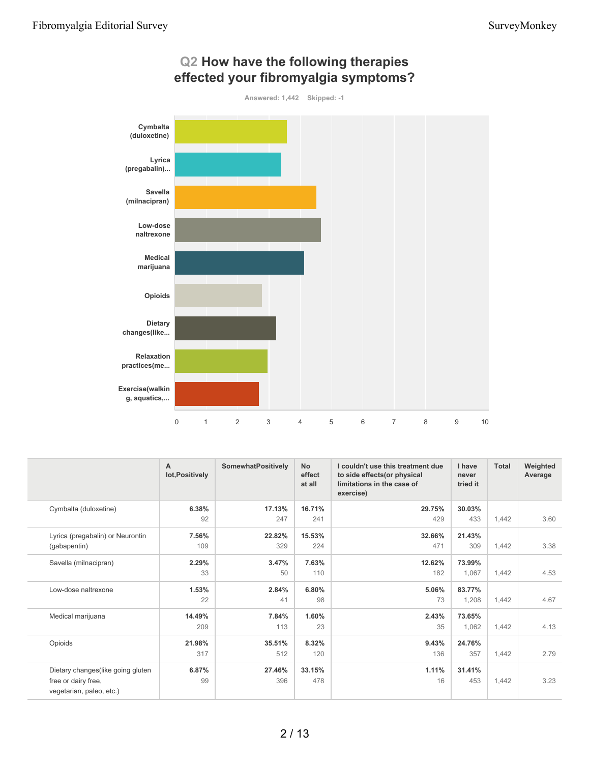

## **Q2 How have the following therapies effected your fibromyalgia symptoms?**

|                                                 | A<br>lot, Positively | <b>SomewhatPositively</b> | <b>No</b><br>effect<br>at all | I couldn't use this treatment due<br>to side effects(or physical<br>limitations in the case of<br>exercise) | I have<br>never<br>tried it | <b>Total</b> | Weighted<br>Average |
|-------------------------------------------------|----------------------|---------------------------|-------------------------------|-------------------------------------------------------------------------------------------------------------|-----------------------------|--------------|---------------------|
| Cymbalta (duloxetine)                           | 6.38%                | 17.13%                    | 16.71%                        | 29.75%                                                                                                      | 30.03%                      |              |                     |
|                                                 | 92                   | 247                       | 241                           | 429                                                                                                         | 433                         | 1,442        | 3.60                |
| Lyrica (pregabalin) or Neurontin                | 7.56%                | 22.82%                    | 15.53%                        | 32.66%                                                                                                      | 21.43%                      |              |                     |
| (gabapentin)                                    | 109                  | 329                       | 224                           | 471                                                                                                         | 309                         | 1,442        | 3.38                |
| Savella (milnacipran)                           | 2.29%                | 3.47%                     | 7.63%                         | 12.62%                                                                                                      | 73.99%                      |              |                     |
|                                                 | 33                   | 50                        | 110                           | 182                                                                                                         | 1,067                       | 1,442        | 4.53                |
| Low-dose naltrexone                             | 1.53%                | 2.84%                     | 6.80%                         | 5.06%                                                                                                       | 83.77%                      |              |                     |
|                                                 | 22                   | 41                        | 98                            | 73                                                                                                          | 1,208                       | 1,442        | 4.67                |
| Medical marijuana                               | 14.49%               | 7.84%                     | 1.60%                         | 2.43%                                                                                                       | 73.65%                      |              |                     |
|                                                 | 209                  | 113                       | 23                            | 35                                                                                                          | 1,062                       | 1,442        | 4.13                |
| Opioids                                         | 21.98%               | 35.51%                    | 8.32%                         | 9.43%                                                                                                       | 24.76%                      |              |                     |
|                                                 | 317                  | 512                       | 120                           | 136                                                                                                         | 357                         | 1,442        | 2.79                |
| Dietary changes (like going gluten              | 6.87%                | 27.46%                    | 33.15%                        | 1.11%                                                                                                       | 31.41%                      |              |                     |
| free or dairy free,<br>vegetarian, paleo, etc.) | 99                   | 396                       | 478                           | 16                                                                                                          | 453                         | 1,442        | 3.23                |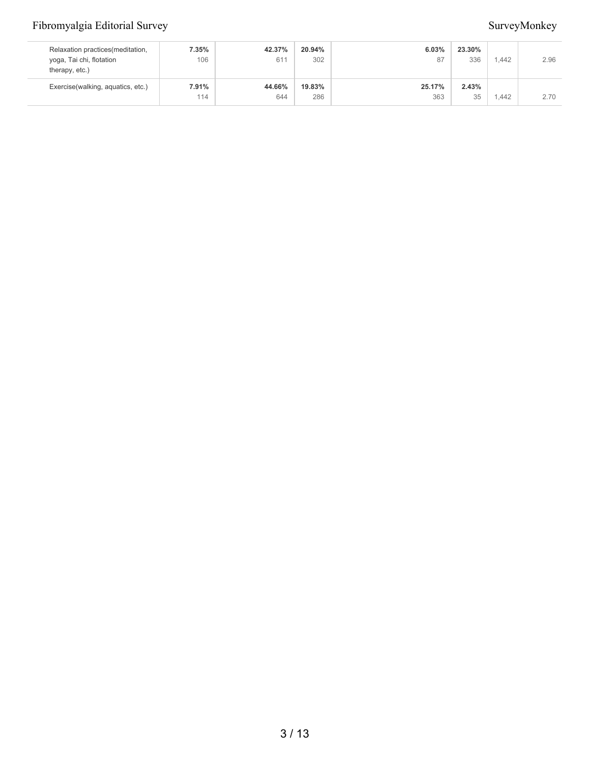| Relaxation practices (meditation,<br>yoga, Tai chi, flotation<br>therapy, etc.) | 7.35%<br>106 | 42.37%<br>611 | 20.94%<br>302 | 6.03%<br>87   | 23.30%<br>336       | .442 | 2.96 |
|---------------------------------------------------------------------------------|--------------|---------------|---------------|---------------|---------------------|------|------|
| Exercise(walking, aquatics, etc.)                                               | 7.91%<br>114 | 44.66%<br>644 | 19.83%<br>286 | 25.17%<br>363 | 2.43%<br>25<br>روزه | .442 | 2.70 |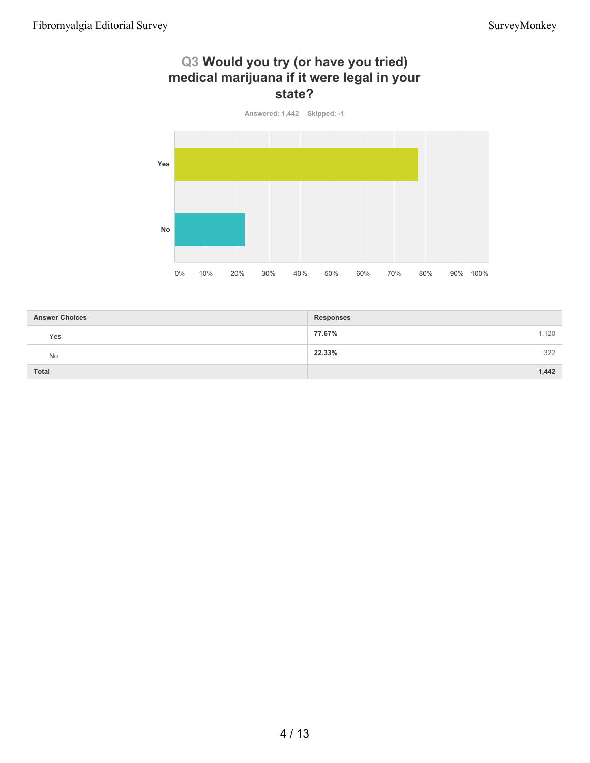## **Q3 Would you try (or have you tried) medical marijuana if it were legal in your state?**



| <b>Answer Choices</b> | <b>Responses</b> |
|-----------------------|------------------|
| Yes                   | 77.67%<br>1,120  |
| No                    | 22.33%<br>322    |
| <b>Total</b>          | 1,442            |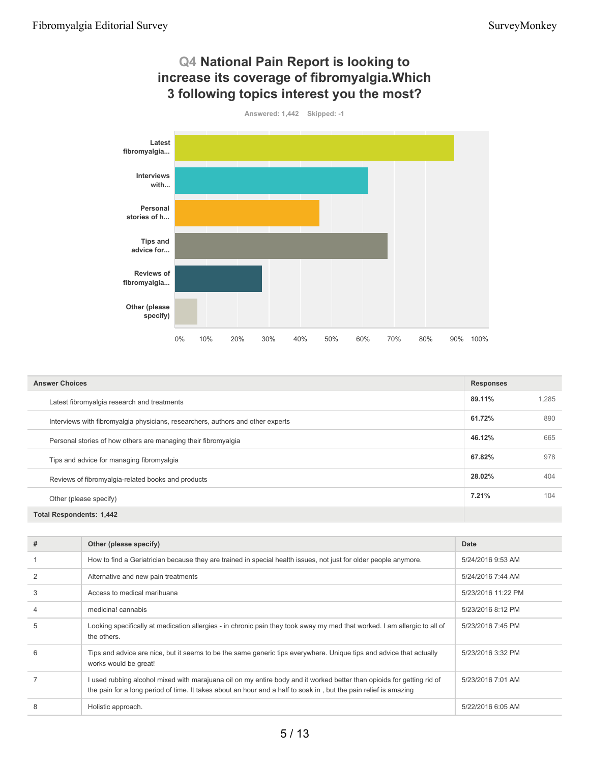

| <b>Answer Choices</b>                                                           |        |       |
|---------------------------------------------------------------------------------|--------|-------|
| Latest fibromyalgia research and treatments                                     | 89.11% | 1.285 |
| Interviews with fibromyalgia physicians, researchers, authors and other experts | 61.72% | 890   |
| Personal stories of how others are managing their fibromyalgia                  | 46.12% | 665   |
| Tips and advice for managing fibromyalgia                                       | 67.82% | 978   |
| Reviews of fibromyalgia-related books and products                              | 28.02% | 404   |
| Other (please specify)                                                          | 7.21%  | 104   |
| <b>Total Respondents: 1,442</b>                                                 |        |       |

| # | Other (please specify)                                                                                                                                                                                                                     | Date               |
|---|--------------------------------------------------------------------------------------------------------------------------------------------------------------------------------------------------------------------------------------------|--------------------|
|   | How to find a Geriatrician because they are trained in special health issues, not just for older people anymore.                                                                                                                           | 5/24/2016 9:53 AM  |
|   | Alternative and new pain treatments                                                                                                                                                                                                        | 5/24/2016 7:44 AM  |
| 3 | Access to medical marihuana                                                                                                                                                                                                                | 5/23/2016 11:22 PM |
|   | medicina! cannabis                                                                                                                                                                                                                         | 5/23/2016 8:12 PM  |
| 5 | Looking specifically at medication allergies - in chronic pain they took away my med that worked. I am allergic to all of<br>the others.                                                                                                   | 5/23/2016 7:45 PM  |
| 6 | Tips and advice are nice, but it seems to be the same generic tips everywhere. Unique tips and advice that actually<br>works would be great!                                                                                               | 5/23/2016 3:32 PM  |
|   | I used rubbing alcohol mixed with marajuana oil on my entire body and it worked better than opioids for getting rid of<br>the pain for a long period of time. It takes about an hour and a half to soak in, but the pain relief is amazing | 5/23/2016 7:01 AM  |
| 8 | Holistic approach.                                                                                                                                                                                                                         | 5/22/2016 6:05 AM  |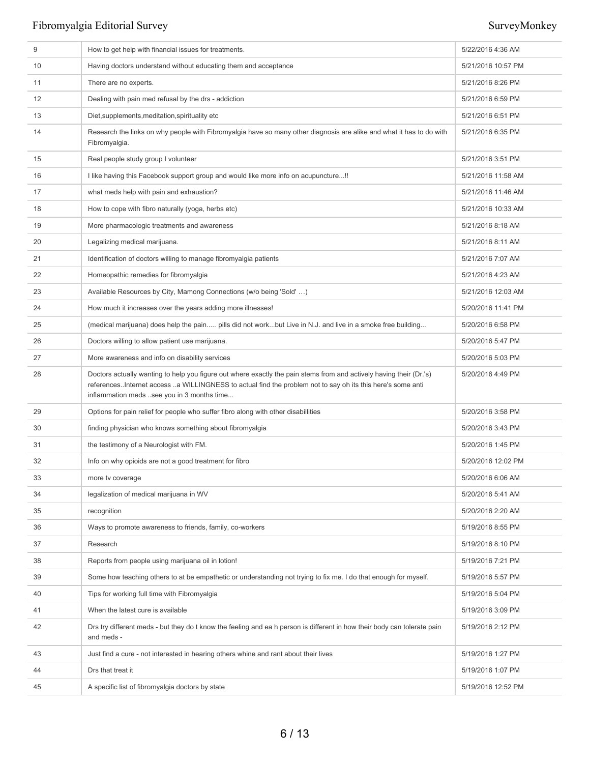| 9  | How to get help with financial issues for treatments.                                                                                                                                                                                                                             | 5/22/2016 4:36 AM  |
|----|-----------------------------------------------------------------------------------------------------------------------------------------------------------------------------------------------------------------------------------------------------------------------------------|--------------------|
| 10 | Having doctors understand without educating them and acceptance                                                                                                                                                                                                                   | 5/21/2016 10:57 PM |
| 11 | There are no experts.                                                                                                                                                                                                                                                             | 5/21/2016 8:26 PM  |
| 12 | Dealing with pain med refusal by the drs - addiction                                                                                                                                                                                                                              | 5/21/2016 6:59 PM  |
| 13 | Diet, supplements, meditation, spirituality etc                                                                                                                                                                                                                                   | 5/21/2016 6:51 PM  |
| 14 | Research the links on why people with Fibromyalgia have so many other diagnosis are alike and what it has to do with<br>Fibromyalgia.                                                                                                                                             | 5/21/2016 6:35 PM  |
| 15 | Real people study group I volunteer                                                                                                                                                                                                                                               | 5/21/2016 3:51 PM  |
| 16 | I like having this Facebook support group and would like more info on acupuncture!!                                                                                                                                                                                               | 5/21/2016 11:58 AM |
| 17 | what meds help with pain and exhaustion?                                                                                                                                                                                                                                          | 5/21/2016 11:46 AM |
| 18 | How to cope with fibro naturally (yoga, herbs etc)                                                                                                                                                                                                                                | 5/21/2016 10:33 AM |
| 19 | More pharmacologic treatments and awareness                                                                                                                                                                                                                                       | 5/21/2016 8:18 AM  |
| 20 | Legalizing medical marijuana.                                                                                                                                                                                                                                                     | 5/21/2016 8:11 AM  |
| 21 | Identification of doctors willing to manage fibromyalgia patients                                                                                                                                                                                                                 | 5/21/2016 7:07 AM  |
| 22 | Homeopathic remedies for fibromyalgia                                                                                                                                                                                                                                             | 5/21/2016 4:23 AM  |
| 23 | Available Resources by City, Mamong Connections (w/o being 'Sold' )                                                                                                                                                                                                               | 5/21/2016 12:03 AM |
| 24 | How much it increases over the years adding more illnesses!                                                                                                                                                                                                                       | 5/20/2016 11:41 PM |
| 25 | (medical marijuana) does help the pain pills did not workbut Live in N.J. and live in a smoke free building                                                                                                                                                                       | 5/20/2016 6:58 PM  |
| 26 | Doctors willing to allow patient use marijuana.                                                                                                                                                                                                                                   | 5/20/2016 5:47 PM  |
| 27 | More awareness and info on disability services                                                                                                                                                                                                                                    | 5/20/2016 5:03 PM  |
|    |                                                                                                                                                                                                                                                                                   |                    |
| 28 | Doctors actually wanting to help you figure out where exactly the pain stems from and actively having their (Dr.'s)<br>references. Internet access a WILLINGNESS to actual find the problem not to say oh its this here's some anti<br>inflammation meds see you in 3 months time | 5/20/2016 4:49 PM  |
| 29 | Options for pain relief for people who suffer fibro along with other disabillities                                                                                                                                                                                                | 5/20/2016 3:58 PM  |
| 30 | finding physician who knows something about fibromyalgia                                                                                                                                                                                                                          | 5/20/2016 3:43 PM  |
| 31 | the testimony of a Neurologist with FM.                                                                                                                                                                                                                                           | 5/20/2016 1:45 PM  |
| 32 | Info on why opioids are not a good treatment for fibro                                                                                                                                                                                                                            | 5/20/2016 12:02 PM |
| 33 | more tv coverage                                                                                                                                                                                                                                                                  | 5/20/2016 6:06 AM  |
| 34 | legalization of medical marijuana in WV                                                                                                                                                                                                                                           | 5/20/2016 5:41 AM  |
| 35 | recognition                                                                                                                                                                                                                                                                       | 5/20/2016 2:20 AM  |
| 36 | Ways to promote awareness to friends, family, co-workers                                                                                                                                                                                                                          | 5/19/2016 8:55 PM  |
| 37 | Research                                                                                                                                                                                                                                                                          | 5/19/2016 8:10 PM  |
| 38 | Reports from people using marijuana oil in lotion!                                                                                                                                                                                                                                | 5/19/2016 7:21 PM  |
| 39 | Some how teaching others to at be empathetic or understanding not trying to fix me. I do that enough for myself.                                                                                                                                                                  | 5/19/2016 5:57 PM  |
| 40 | Tips for working full time with Fibromyalgia                                                                                                                                                                                                                                      | 5/19/2016 5:04 PM  |
| 41 | When the latest cure is available                                                                                                                                                                                                                                                 | 5/19/2016 3:09 PM  |
| 42 | Drs try different meds - but they do t know the feeling and ea h person is different in how their body can tolerate pain<br>and meds -                                                                                                                                            | 5/19/2016 2:12 PM  |
| 43 | Just find a cure - not interested in hearing others whine and rant about their lives                                                                                                                                                                                              | 5/19/2016 1:27 PM  |
| 44 | Drs that treat it                                                                                                                                                                                                                                                                 | 5/19/2016 1:07 PM  |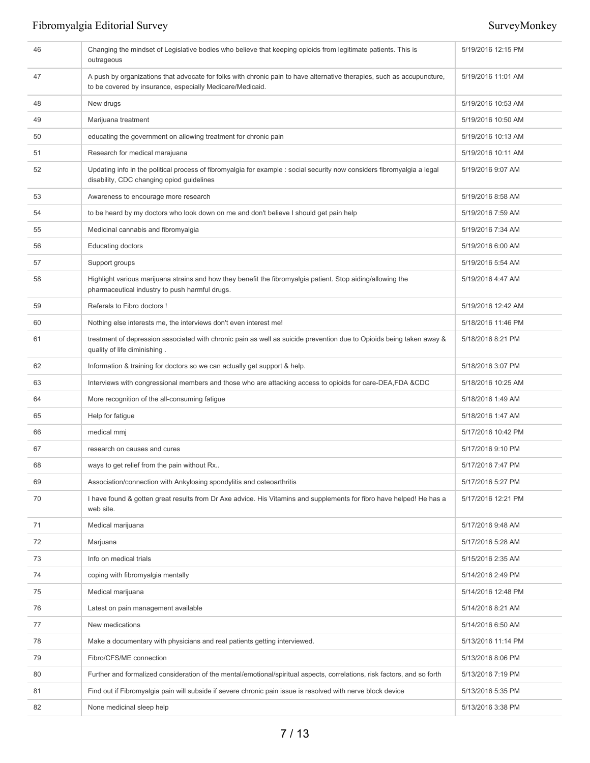| 46 | Changing the mindset of Legislative bodies who believe that keeping opioids from legitimate patients. This is<br>outrageous                                                         | 5/19/2016 12:15 PM |
|----|-------------------------------------------------------------------------------------------------------------------------------------------------------------------------------------|--------------------|
| 47 | A push by organizations that advocate for folks with chronic pain to have alternative therapies, such as accupuncture,<br>to be covered by insurance, especially Medicare/Medicaid. | 5/19/2016 11:01 AM |
| 48 | New drugs                                                                                                                                                                           | 5/19/2016 10:53 AM |
| 49 | Marijuana treatment                                                                                                                                                                 | 5/19/2016 10:50 AM |
| 50 | educating the government on allowing treatment for chronic pain                                                                                                                     | 5/19/2016 10:13 AM |
| 51 | Research for medical marajuana                                                                                                                                                      | 5/19/2016 10:11 AM |
| 52 | Updating info in the political process of fibromyalgia for example : social security now considers fibromyalgia a legal<br>disability, CDC changing opiod guidelines                | 5/19/2016 9:07 AM  |
| 53 | Awareness to encourage more research                                                                                                                                                | 5/19/2016 8:58 AM  |
| 54 | to be heard by my doctors who look down on me and don't believe I should get pain help                                                                                              | 5/19/2016 7:59 AM  |
| 55 | Medicinal cannabis and fibromyalgia                                                                                                                                                 | 5/19/2016 7:34 AM  |
| 56 | <b>Educating doctors</b>                                                                                                                                                            | 5/19/2016 6:00 AM  |
| 57 | Support groups                                                                                                                                                                      | 5/19/2016 5:54 AM  |
| 58 | Highlight various marijuana strains and how they benefit the fibromyalgia patient. Stop aiding/allowing the<br>pharmaceutical industry to push harmful drugs.                       | 5/19/2016 4:47 AM  |
| 59 | Referals to Fibro doctors !                                                                                                                                                         | 5/19/2016 12:42 AM |
| 60 | Nothing else interests me, the interviews don't even interest me!                                                                                                                   | 5/18/2016 11:46 PM |
| 61 | treatment of depression associated with chronic pain as well as suicide prevention due to Opioids being taken away &<br>quality of life diminishing.                                | 5/18/2016 8:21 PM  |
| 62 | Information & training for doctors so we can actually get support & help.                                                                                                           | 5/18/2016 3:07 PM  |
| 63 | Interviews with congressional members and those who are attacking access to opioids for care-DEA, FDA &CDC                                                                          | 5/18/2016 10:25 AM |
| 64 | More recognition of the all-consuming fatigue                                                                                                                                       | 5/18/2016 1:49 AM  |
| 65 | Help for fatigue                                                                                                                                                                    | 5/18/2016 1:47 AM  |
| 66 | medical mmj                                                                                                                                                                         | 5/17/2016 10:42 PM |
| 67 | research on causes and cures                                                                                                                                                        | 5/17/2016 9:10 PM  |
| 68 | ways to get relief from the pain without Rx                                                                                                                                         | 5/17/2016 7:47 PM  |
| 69 | Association/connection with Ankylosing spondylitis and osteoarthritis                                                                                                               | 5/17/2016 5:27 PM  |
| 70 | I have found & gotten great results from Dr Axe advice. His Vitamins and supplements for fibro have helped! He has a<br>web site.                                                   | 5/17/2016 12:21 PM |
| 71 | Medical marijuana                                                                                                                                                                   | 5/17/2016 9:48 AM  |
| 72 | Marjuana                                                                                                                                                                            | 5/17/2016 5:28 AM  |
| 73 | Info on medical trials                                                                                                                                                              | 5/15/2016 2:35 AM  |
| 74 | coping with fibromyalgia mentally                                                                                                                                                   | 5/14/2016 2:49 PM  |
| 75 | Medical marijuana                                                                                                                                                                   | 5/14/2016 12:48 PM |
| 76 | Latest on pain management available                                                                                                                                                 | 5/14/2016 8:21 AM  |
| 77 | New medications                                                                                                                                                                     | 5/14/2016 6:50 AM  |
| 78 | Make a documentary with physicians and real patients getting interviewed.                                                                                                           | 5/13/2016 11:14 PM |
| 79 | Fibro/CFS/ME connection                                                                                                                                                             | 5/13/2016 8:06 PM  |
| 80 | Further and formalized consideration of the mental/emotional/spiritual aspects, correlations, risk factors, and so forth                                                            | 5/13/2016 7:19 PM  |
| 81 | Find out if Fibromyalgia pain will subside if severe chronic pain issue is resolved with nerve block device                                                                         | 5/13/2016 5:35 PM  |
| 82 | None medicinal sleep help                                                                                                                                                           | 5/13/2016 3:38 PM  |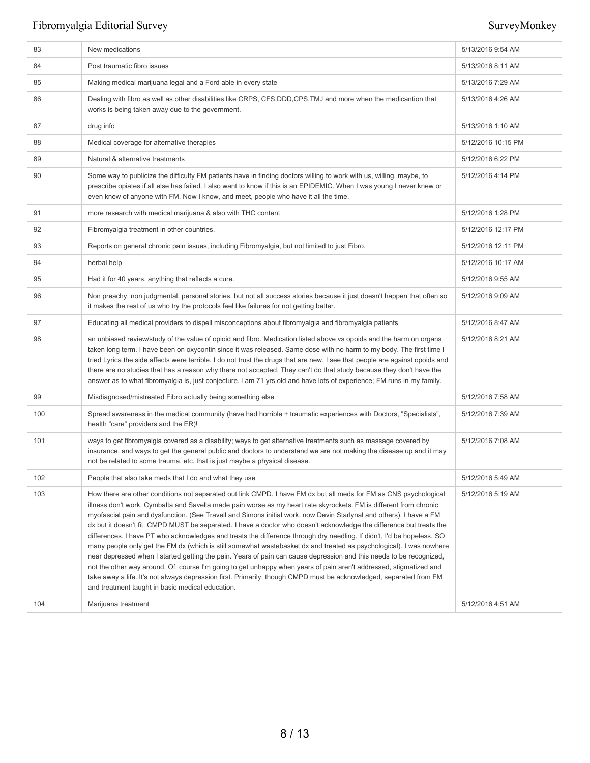| 83  | New medications                                                                                                                                                                                                                                                                                                                                                                                                                                                                                                                                                                                                                                                                                                                                                                                                                                                                                                                                                                                                                                                                                                                                                | 5/13/2016 9:54 AM  |
|-----|----------------------------------------------------------------------------------------------------------------------------------------------------------------------------------------------------------------------------------------------------------------------------------------------------------------------------------------------------------------------------------------------------------------------------------------------------------------------------------------------------------------------------------------------------------------------------------------------------------------------------------------------------------------------------------------------------------------------------------------------------------------------------------------------------------------------------------------------------------------------------------------------------------------------------------------------------------------------------------------------------------------------------------------------------------------------------------------------------------------------------------------------------------------|--------------------|
| 84  | Post traumatic fibro issues                                                                                                                                                                                                                                                                                                                                                                                                                                                                                                                                                                                                                                                                                                                                                                                                                                                                                                                                                                                                                                                                                                                                    | 5/13/2016 8:11 AM  |
| 85  | Making medical marijuana legal and a Ford able in every state                                                                                                                                                                                                                                                                                                                                                                                                                                                                                                                                                                                                                                                                                                                                                                                                                                                                                                                                                                                                                                                                                                  | 5/13/2016 7:29 AM  |
| 86  | Dealing with fibro as well as other disabilities like CRPS, CFS, DDD, CPS, TMJ and more when the medicantion that<br>works is being taken away due to the government.                                                                                                                                                                                                                                                                                                                                                                                                                                                                                                                                                                                                                                                                                                                                                                                                                                                                                                                                                                                          | 5/13/2016 4:26 AM  |
| 87  | drug info                                                                                                                                                                                                                                                                                                                                                                                                                                                                                                                                                                                                                                                                                                                                                                                                                                                                                                                                                                                                                                                                                                                                                      | 5/13/2016 1:10 AM  |
| 88  | Medical coverage for alternative therapies                                                                                                                                                                                                                                                                                                                                                                                                                                                                                                                                                                                                                                                                                                                                                                                                                                                                                                                                                                                                                                                                                                                     | 5/12/2016 10:15 PM |
| 89  | Natural & alternative treatments                                                                                                                                                                                                                                                                                                                                                                                                                                                                                                                                                                                                                                                                                                                                                                                                                                                                                                                                                                                                                                                                                                                               | 5/12/2016 6:22 PM  |
| 90  | Some way to publicize the difficulty FM patients have in finding doctors willing to work with us, willing, maybe, to<br>prescribe opiates if all else has failed. I also want to know if this is an EPIDEMIC. When I was young I never knew or<br>even knew of anyone with FM. Now I know, and meet, people who have it all the time.                                                                                                                                                                                                                                                                                                                                                                                                                                                                                                                                                                                                                                                                                                                                                                                                                          | 5/12/2016 4:14 PM  |
| 91  | more research with medical marijuana & also with THC content                                                                                                                                                                                                                                                                                                                                                                                                                                                                                                                                                                                                                                                                                                                                                                                                                                                                                                                                                                                                                                                                                                   | 5/12/2016 1:28 PM  |
| 92  | Fibromyalgia treatment in other countries.                                                                                                                                                                                                                                                                                                                                                                                                                                                                                                                                                                                                                                                                                                                                                                                                                                                                                                                                                                                                                                                                                                                     | 5/12/2016 12:17 PM |
| 93  | Reports on general chronic pain issues, including Fibromyalgia, but not limited to just Fibro.                                                                                                                                                                                                                                                                                                                                                                                                                                                                                                                                                                                                                                                                                                                                                                                                                                                                                                                                                                                                                                                                 | 5/12/2016 12:11 PM |
| 94  | herbal help                                                                                                                                                                                                                                                                                                                                                                                                                                                                                                                                                                                                                                                                                                                                                                                                                                                                                                                                                                                                                                                                                                                                                    | 5/12/2016 10:17 AM |
| 95  | Had it for 40 years, anything that reflects a cure.                                                                                                                                                                                                                                                                                                                                                                                                                                                                                                                                                                                                                                                                                                                                                                                                                                                                                                                                                                                                                                                                                                            | 5/12/2016 9:55 AM  |
| 96  | Non preachy, non judgmental, personal stories, but not all success stories because it just doesn't happen that often so<br>it makes the rest of us who try the protocols feel like failures for not getting better.                                                                                                                                                                                                                                                                                                                                                                                                                                                                                                                                                                                                                                                                                                                                                                                                                                                                                                                                            | 5/12/2016 9:09 AM  |
| 97  | Educating all medical providers to dispell misconceptions about fibromyalgia and fibromyalgia patients                                                                                                                                                                                                                                                                                                                                                                                                                                                                                                                                                                                                                                                                                                                                                                                                                                                                                                                                                                                                                                                         | 5/12/2016 8:47 AM  |
| 98  | an unbiased review/study of the value of opioid and fibro. Medication listed above vs opoids and the harm on organs<br>taken long term. I have been on oxycontin since it was released. Same dose with no harm to my body. The first time I<br>tried Lyrica the side affects were terrible. I do not trust the drugs that are new. I see that people are against opoids and<br>there are no studies that has a reason why there not accepted. They can't do that study because they don't have the<br>answer as to what fibromyalgia is, just conjecture. I am 71 yrs old and have lots of experience; FM runs in my family.                                                                                                                                                                                                                                                                                                                                                                                                                                                                                                                                   | 5/12/2016 8:21 AM  |
| 99  | Misdiagnosed/mistreated Fibro actually being something else                                                                                                                                                                                                                                                                                                                                                                                                                                                                                                                                                                                                                                                                                                                                                                                                                                                                                                                                                                                                                                                                                                    | 5/12/2016 7:58 AM  |
| 100 | Spread awareness in the medical community (have had horrible + traumatic experiences with Doctors, "Specialists",<br>health "care" providers and the ER)!                                                                                                                                                                                                                                                                                                                                                                                                                                                                                                                                                                                                                                                                                                                                                                                                                                                                                                                                                                                                      | 5/12/2016 7:39 AM  |
| 101 | ways to get fibromyalgia covered as a disability; ways to get alternative treatments such as massage covered by<br>insurance, and ways to get the general public and doctors to understand we are not making the disease up and it may<br>not be related to some trauma, etc. that is just maybe a physical disease.                                                                                                                                                                                                                                                                                                                                                                                                                                                                                                                                                                                                                                                                                                                                                                                                                                           | 5/12/2016 7:08 AM  |
| 102 | People that also take meds that I do and what they use                                                                                                                                                                                                                                                                                                                                                                                                                                                                                                                                                                                                                                                                                                                                                                                                                                                                                                                                                                                                                                                                                                         | 5/12/2016 5:49 AM  |
| 103 | How there are other conditions not separated out link CMPD. I have FM dx but all meds for FM as CNS psychological<br>illness don't work. Cymbalta and Savella made pain worse as my heart rate skyrockets. FM is different from chronic<br>myofascial pain and dysfunction. (See Travell and Simons initial work, now Devin Starlynal and others). I have a FM<br>dx but it doesn't fit. CMPD MUST be separated. I have a doctor who doesn't acknowledge the difference but treats the<br>differences. I have PT who acknowledges and treats the difference through dry needling. If didn't, I'd be hopeless. SO<br>many people only get the FM dx (which is still somewhat wastebasket dx and treated as psychological). I was nowhere<br>near depressed when I started getting the pain. Years of pain can cause depression and this needs to be recognized,<br>not the other way around. Of, course I'm going to get unhappy when years of pain aren't addressed, stigmatized and<br>take away a life. It's not always depression first. Primarily, though CMPD must be acknowledged, separated from FM<br>and treatment taught in basic medical education. | 5/12/2016 5:19 AM  |
| 104 | Marijuana treatment                                                                                                                                                                                                                                                                                                                                                                                                                                                                                                                                                                                                                                                                                                                                                                                                                                                                                                                                                                                                                                                                                                                                            | 5/12/2016 4:51 AM  |
|     |                                                                                                                                                                                                                                                                                                                                                                                                                                                                                                                                                                                                                                                                                                                                                                                                                                                                                                                                                                                                                                                                                                                                                                |                    |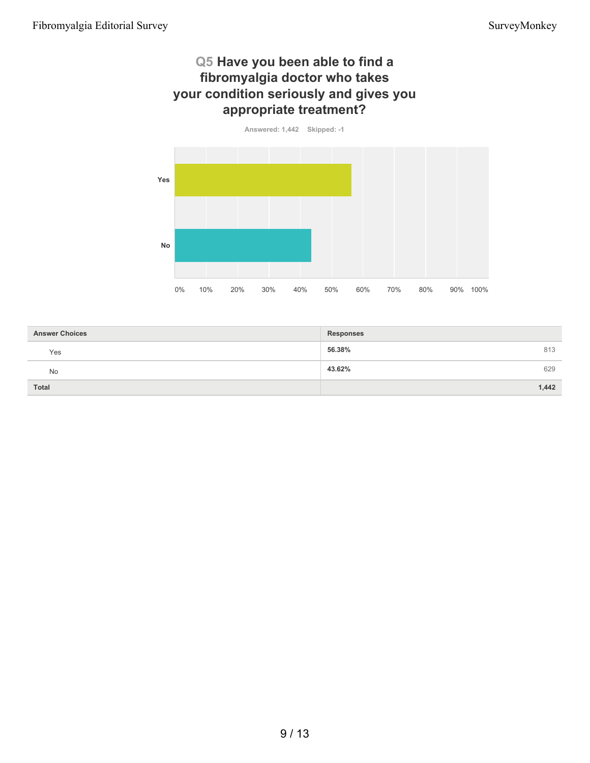## **Q5 Have you been able to find a fibromyalgia doctor who takes your condition seriously and gives you appropriate treatment?**



| <b>Answer Choices</b> | <b>Responses</b> |
|-----------------------|------------------|
| Yes                   | 813<br>56.38%    |
| No                    | 43.62%<br>629    |
| <b>Total</b>          | 1,442            |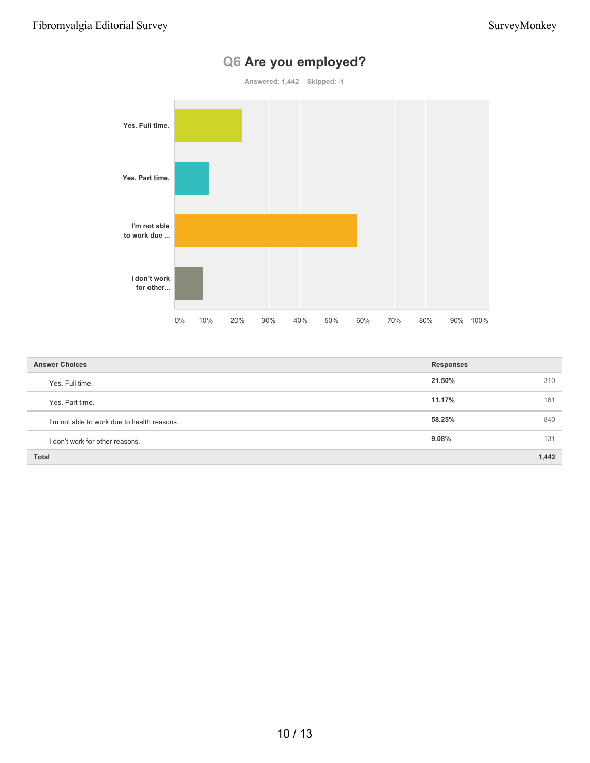

# **Q6 Are you employed?**

| <b>Answer Choices</b>                       | <b>Responses</b> |
|---------------------------------------------|------------------|
| Yes. Full time.                             | 21.50%<br>310    |
| Yes. Part time.                             | 11.17%<br>161    |
| I'm not able to work due to health reasons. | 58.25%<br>840    |
| I don't work for other reasons.             | $9.08\%$<br>131  |
| <b>Total</b>                                | 1,442            |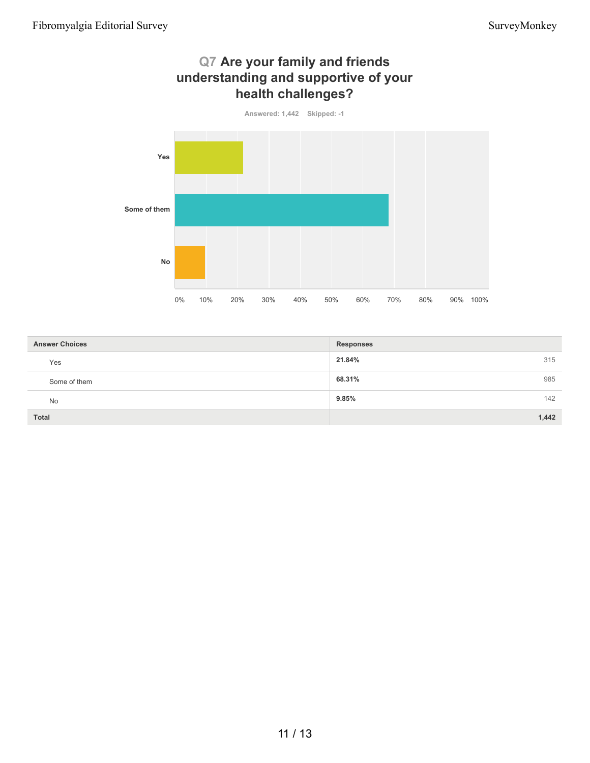

| <b>Answer Choices</b> | <b>Responses</b> |
|-----------------------|------------------|
| Yes                   | 315<br>21.84%    |
| Some of them          | 985<br>68.31%    |
| No                    | 142<br>9.85%     |
| Total                 | 1,442            |

# **Q7 Are your family and friends**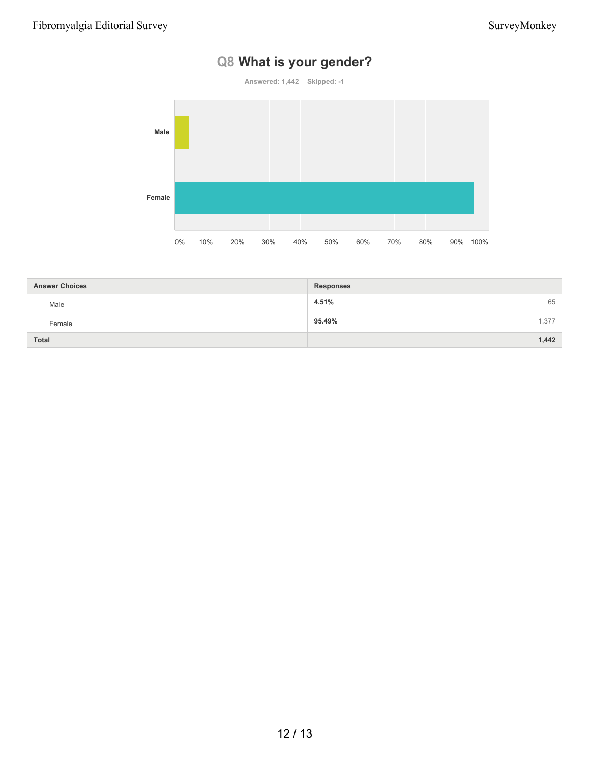# **Q8 What is your gender?**

**Answered: 1,442 Skipped: -1**



| <b>Answer Choices</b> | <b>Responses</b> |       |
|-----------------------|------------------|-------|
| Male                  | 4.51%            | 65    |
| Female                | 95.49%           | 1.377 |
| <b>Total</b>          |                  | 1,442 |